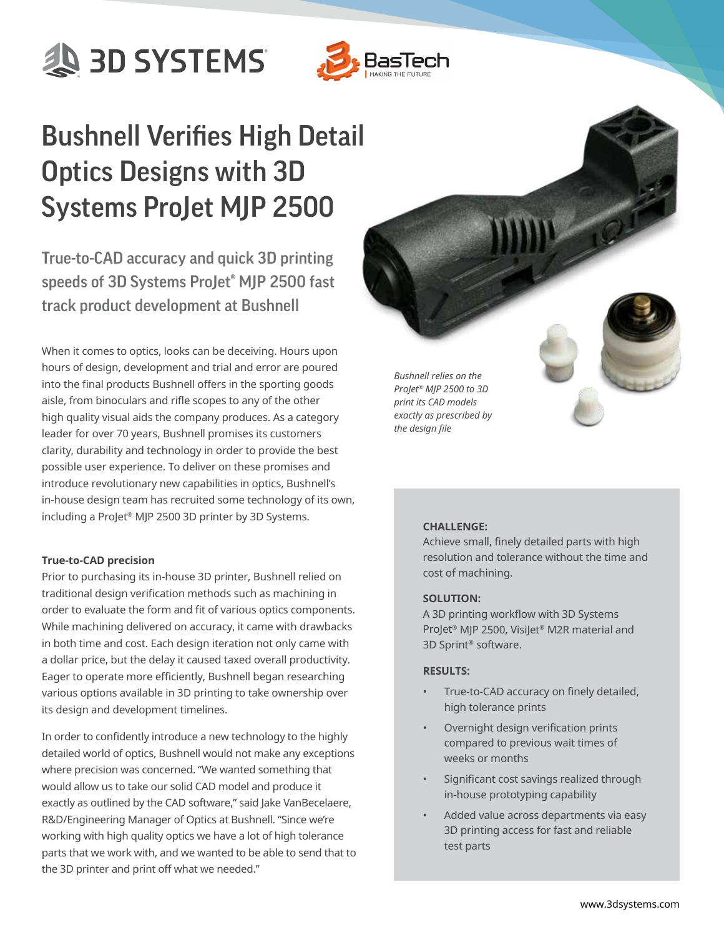**AD SYSTEMS** 



# Bushnell Verifies High Detail Optics Designs with 3D Systems ProJet MJP 2500

True-to-CAD accuracy and quick 3D printing speeds of 3D Systems ProJet® MJP 2500 fast track product development at Bushnell

When it comes to optics, looks can be deceiving. Hours upon hours of design, development and trial and error are poured into the final products Bushnell offers in the sporting goods aisle, from binoculars and rifle scopes to any of the other high quality visual aids the company produces. As a category leader for over 70 years, Bushnell promises its customers clarity, durability and technology in order to provide the best possible user experience. To deliver on these promises and introduce revolutionary new capabilities in optics, Bushnell's in-house design team has recruited some technology of its own, including a ProJet® MJP 2500 3D printer by 3D Systems.

## **True-to-CAD precision**

Prior to purchasing its in-house 3D printer, Bushnell relied on traditional design verification methods such as machining in order to evaluate the form and fit of various optics components. While machining delivered on accuracy, it came with drawbacks in both time and cost. Each design iteration not only came with a dollar price, but the delay it caused taxed overall productivity. Eager to operate more efficiently, Bushnell began researching various options available in 3D printing to take ownership over its design and development timelines.

In order to confidently introduce a new technology to the highly detailed world of optics, Bushnell would not make any exceptions where precision was concerned. "We wanted something that would allow us to take our solid CAD model and produce it exactly as outlined by the CAD software," said Jake VanBecelaere, R&D/Engineering Manager of Optics at Bushnell. "Since we're working with high quality optics we have a lot of high tolerance parts that we work with, and we wanted to be able to send that to the 3D printer and print off what we needed."

*Bushnell relies on the ProJet® MJP 2500 to 3D print its CAD models exactly as prescribed by the design file*

### **CHALLENGE:**

Achieve small, finely detailed parts with high resolution and tolerance without the time and cost of machining.

#### **SOLUTION:**

A 3D printing workflow with 3D Systems ProJet® MJP 2500, VisiJet® M2R material and 3D Sprint® software.

#### **RESULTS:**

- True-to-CAD accuracy on finely detailed, high tolerance prints
- Overnight design verification prints compared to previous wait times of weeks or months
- Significant cost savings realized through in-house prototyping capability
- Added value across departments via easy 3D printing access for fast and reliable test parts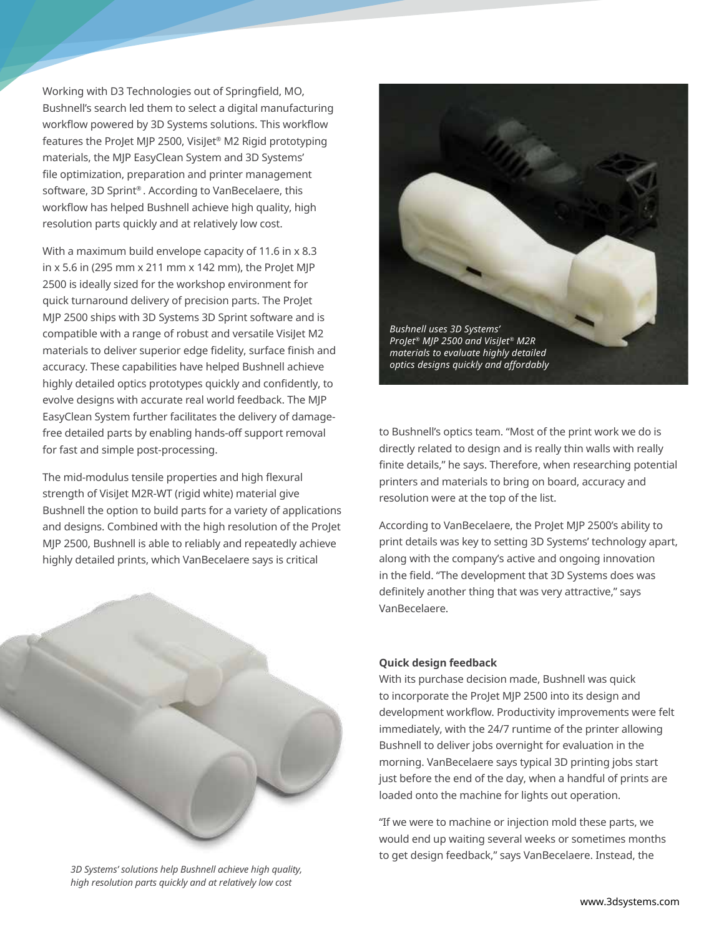Working with D3 Technologies out of Springfield, MO, Bushnell's search led them to select a digital manufacturing workflow powered by 3D Systems solutions. This workflow features the ProJet MJP 2500, VisiJet® M2 Rigid prototyping materials, the MJP EasyClean System and 3D Systems' file optimization, preparation and printer management software, 3D Sprint® . According to VanBecelaere, this workflow has helped Bushnell achieve high quality, high resolution parts quickly and at relatively low cost.

With a maximum build envelope capacity of 11.6 in x 8.3 in x 5.6 in (295 mm x 211 mm x 142 mm), the ProJet MJP 2500 is ideally sized for the workshop environment for quick turnaround delivery of precision parts. The ProJet MJP 2500 ships with 3D Systems 3D Sprint software and is compatible with a range of robust and versatile VisiJet M2 materials to deliver superior edge fidelity, surface finish and accuracy. These capabilities have helped Bushnell achieve highly detailed optics prototypes quickly and confidently, to evolve designs with accurate real world feedback. The MJP EasyClean System further facilitates the delivery of damagefree detailed parts by enabling hands-off support removal for fast and simple post-processing.

The mid-modulus tensile properties and high flexural strength of VisiJet M2R-WT (rigid white) material give Bushnell the option to build parts for a variety of applications and designs. Combined with the high resolution of the ProJet MJP 2500, Bushnell is able to reliably and repeatedly achieve highly detailed prints, which VanBecelaere says is critical



*3D Systems' solutions help Bushnell achieve high quality, high resolution parts quickly and at relatively low cost*



to Bushnell's optics team. "Most of the print work we do is directly related to design and is really thin walls with really finite details," he says. Therefore, when researching potential printers and materials to bring on board, accuracy and resolution were at the top of the list.

According to VanBecelaere, the ProJet MJP 2500's ability to print details was key to setting 3D Systems' technology apart, along with the company's active and ongoing innovation in the field. "The development that 3D Systems does was definitely another thing that was very attractive," says VanBecelaere.

## **Quick design feedback**

With its purchase decision made, Bushnell was quick to incorporate the ProJet MJP 2500 into its design and development workflow. Productivity improvements were felt immediately, with the 24/7 runtime of the printer allowing Bushnell to deliver jobs overnight for evaluation in the morning. VanBecelaere says typical 3D printing jobs start just before the end of the day, when a handful of prints are loaded onto the machine for lights out operation.

"If we were to machine or injection mold these parts, we would end up waiting several weeks or sometimes months to get design feedback," says VanBecelaere. Instead, the